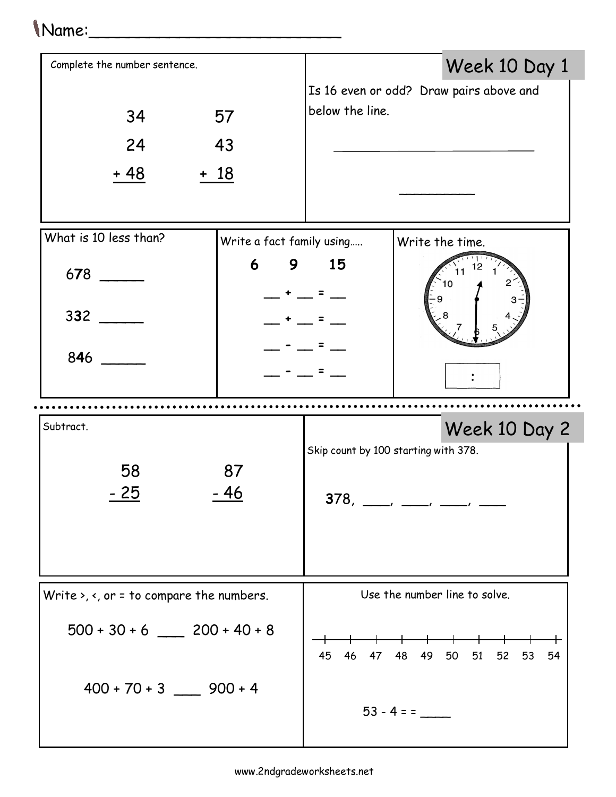## Name:\_\_\_\_\_\_\_\_\_\_\_\_\_\_\_\_\_\_\_\_\_\_\_\_\_

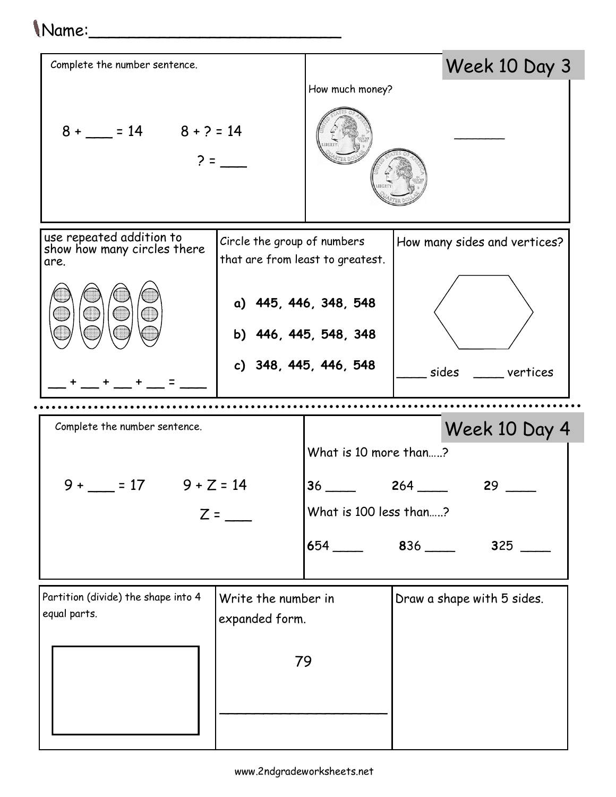| (Name:                                                                                       |                                                                 |                                        |                              |
|----------------------------------------------------------------------------------------------|-----------------------------------------------------------------|----------------------------------------|------------------------------|
| Complete the number sentence.                                                                |                                                                 |                                        | Week 10 Day 3                |
|                                                                                              |                                                                 | How much money?                        |                              |
| $8 + 2 = 14$ $8 + 2 = 14$                                                                    |                                                                 |                                        |                              |
| use repeated addition to<br>show how many circles there<br>are.                              | Circle the group of numbers<br>that are from least to greatest. |                                        | How many sides and vertices? |
|                                                                                              | a) 445, 446, 348, 548<br>b) 446, 445, 548, 348                  |                                        |                              |
|                                                                                              |                                                                 | c) 348, 445, 446, 548                  | sides<br>vertices            |
| Complete the number sentence.                                                                |                                                                 |                                        |                              |
| $9 + \_ = 17$ $9 + Z = 14$<br>$Z =$                                                          |                                                                 | Week 10 Day 4<br>What is 10 more than? |                              |
|                                                                                              |                                                                 |                                        |                              |
|                                                                                              |                                                                 | $36$ 264<br>$29$ $-$                   |                              |
|                                                                                              |                                                                 | What is 100 less than?                 |                              |
|                                                                                              |                                                                 | $654$ $836$ $\_\_\_\_\_\_$             |                              |
| Partition (divide) the shape into 4<br>Write the number in<br>equal parts.<br>expanded form. |                                                                 |                                        | Draw a shape with 5 sides.   |
| 79                                                                                           |                                                                 |                                        |                              |